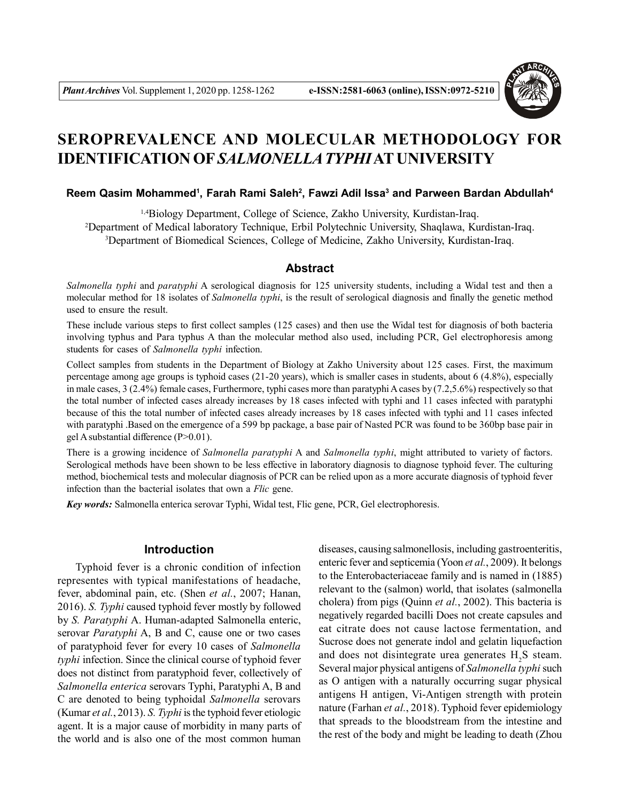

# **SEROPREVALENCE AND MOLECULAR METHODOLOGY FOR IDENTIFICATION OF***SALMONELLA TYPHI***AT UNIVERSITY**

### **Reem Qasim Mohammed<sup>1</sup> , Farah Rami Saleh<sup>2</sup> , Fawzi Adil Issa<sup>3</sup> and Parween Bardan Abdullah<sup>4</sup>**

<sup>1,4</sup>Biology Department, College of Science, Zakho University, Kurdistan-Iraq. <sup>2</sup>Department of Medical laboratory Technique, Erbil Polytechnic University, Shaqlawa, Kurdistan-Iraq. <sup>3</sup>Department of Biomedical Sciences, College of Medicine, Zakho University, Kurdistan-Iraq.

# **Abstract**

*Salmonella typhi* and *paratyphi* A serological diagnosis for 125 university students, including a Widal test and then a molecular method for 18 isolates of *Salmonella typhi*, is the result of serological diagnosis and finally the genetic method used to ensure the result.

These include various steps to first collect samples (125 cases) and then use the Widal test for diagnosis of both bacteria involving typhus and Para typhus A than the molecular method also used, including PCR, Gel electrophoresis among students for cases of *Salmonella typhi* infection.

Collect samples from students in the Department of Biology at Zakho University about 125 cases. First, the maximum percentage among age groups is typhoid cases (21-20 years), which is smaller cases in students, about 6 (4.8%), especially in male cases, 3 (2.4%) female cases, Furthermore, typhi cases more than paratyphi A cases by (7.2,5.6%) respectively so that the total number of infected cases already increases by 18 cases infected with typhi and 11 cases infected with paratyphi because of this the total number of infected cases already increases by 18 cases infected with typhi and 11 cases infected with paratyphi .Based on the emergence of a 599 bp package, a base pair of Nasted PCR was found to be 360bp base pair in gel A substantial difference (P>0.01).

There is a growing incidence of *Salmonella paratyphi* A and *Salmonella typhi*, might attributed to variety of factors. Serological methods have been shown to be less effective in laboratory diagnosis to diagnose typhoid fever. The culturing method, biochemical tests and molecular diagnosis of PCR can be relied upon as a more accurate diagnosis of typhoid fever infection than the bacterial isolates that own a *Flic* gene.

*Key words:* Salmonella enterica serovar Typhi, Widal test, Flic gene, PCR, Gel electrophoresis.

# **Introduction**

Typhoid fever is a chronic condition of infection representes with typical manifestations of headache, fever, abdominal pain, etc. (Shen *et al.*, 2007; Hanan, 2016). *S. Typhi* caused typhoid fever mostly by followed by *S. Paratyphi* A. Human-adapted Salmonella enteric, serovar *Paratyphi* A, B and C, cause one or two cases of paratyphoid fever for every 10 cases of *Salmonella typhi* infection. Since the clinical course of typhoid fever does not distinct from paratyphoid fever, collectively of *Salmonella enterica* serovars Typhi, Paratyphi A, B and C are denoted to being typhoidal *Salmonella* serovars (Kumar *et al.*, 2013). *S. Typhi* is the typhoid fever etiologic agent. It is a major cause of morbidity in many parts of the world and is also one of the most common human

diseases, causing salmonellosis, including gastroenteritis, enteric fever and septicemia (Yoon *et al.*, 2009). It belongs to the Enterobacteriaceae family and is named in (1885) relevant to the (salmon) world, that isolates (salmonella cholera) from pigs (Quinn *et al.*, 2002). This bacteria is negatively regarded bacilli Does not create capsules and eat citrate does not cause lactose fermentation, and Sucrose does not generate indol and gelatin liquefaction and does not disintegrate urea generates  $H_2S$  steam. Several major physical antigens of *Salmonella typhi* such as O antigen with a naturally occurring sugar physical antigens H antigen, Vi-Antigen strength with protein nature (Farhan *et al.*, 2018). Typhoid fever epidemiology that spreads to the bloodstream from the intestine and the rest of the body and might be leading to death (Zhou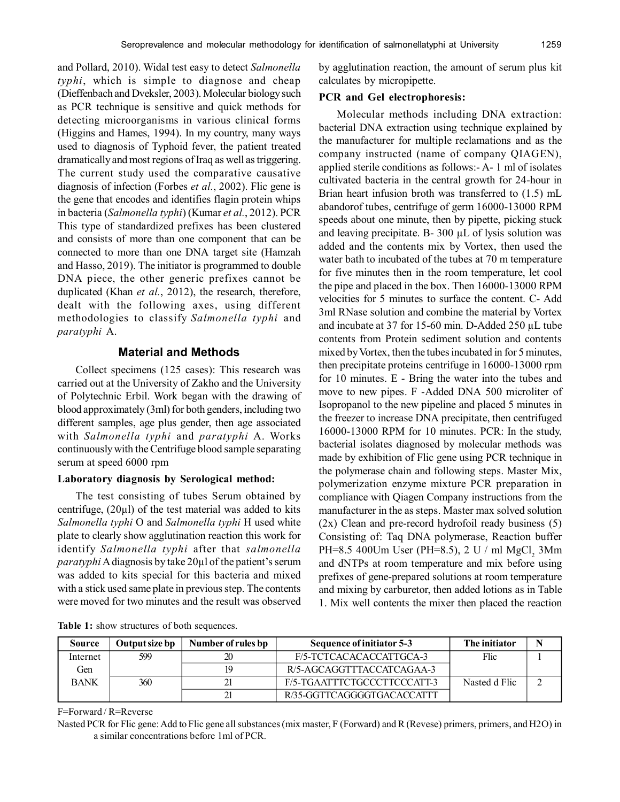and Pollard, 2010). Widal test easy to detect *Salmonella typhi*, which is simple to diagnose and cheap (Dieffenbach and Dveksler, 2003). Molecular biology such as PCR technique is sensitive and quick methods for detecting microorganisms in various clinical forms (Higgins and Hames, 1994). In my country, many ways used to diagnosis of Typhoid fever, the patient treated dramatically and most regions of Iraq as well as triggering. The current study used the comparative causative diagnosis of infection (Forbes *et al.*, 2002). Flic gene is the gene that encodes and identifies flagin protein whips in bacteria (*Salmonella typhi*) (Kumar *et al.*, 2012). PCR This type of standardized prefixes has been clustered and consists of more than one component that can be connected to more than one DNA target site (Hamzah and Hasso, 2019). The initiator is programmed to double DNA piece, the other generic prefixes cannot be duplicated (Khan *et al.*, 2012), the research, therefore, dealt with the following axes, using different methodologies to classify *Salmonella typhi* and *paratyphi* A.

# **Material and Methods**

Collect specimens (125 cases): This research was carried out at the University of Zakho and the University of Polytechnic Erbil. Work began with the drawing of blood approximately (3ml) for both genders, including two different samples, age plus gender, then age associated with *Salmonella typhi* and *paratyphi* A. Works continuously with the Centrifuge blood sample separating serum at speed 6000 rpm

# **Laboratory diagnosis by Serological method:**

The test consisting of tubes Serum obtained by centrifuge,  $(20\mu l)$  of the test material was added to kits *Salmonella typhi* O and *Salmonella typhi* H used white plate to clearly show agglutination reaction this work for identify *Salmonella typhi* after that *salmonella paratyphi* A diagnosis by take 20µl of the patient's serum was added to kits special for this bacteria and mixed with a stick used same plate in previous step. The contents were moved for two minutes and the result was observed by agglutination reaction, the amount of serum plus kit calculates by micropipette.

#### **PCR and Gel electrophoresis:**

Molecular methods including DNA extraction: bacterial DNA extraction using technique explained by the manufacturer for multiple reclamations and as the company instructed (name of company QIAGEN), applied sterile conditions as follows:- A- 1 ml of isolates cultivated bacteria in the central growth for 24-hour in Brian heart infusion broth was transferred to (1.5) mL abandorof tubes, centrifuge of germ 16000-13000 RPM speeds about one minute, then by pipette, picking stuck and leaving precipitate. B- 300 µL of lysis solution was added and the contents mix by Vortex, then used the water bath to incubated of the tubes at 70 m temperature for five minutes then in the room temperature, let cool the pipe and placed in the box. Then 16000-13000 RPM velocities for 5 minutes to surface the content. C- Add 3ml RNase solution and combine the material by Vortex and incubate at 37 for 15-60 min. D-Added 250 µL tube contents from Protein sediment solution and contents mixed by Vortex, then the tubes incubated in for 5 minutes, then precipitate proteins centrifuge in 16000-13000 rpm for 10 minutes. E - Bring the water into the tubes and move to new pipes. F -Added DNA 500 microliter of Isopropanol to the new pipeline and placed 5 minutes in the freezer to increase DNA precipitate, then centrifuged 16000-13000 RPM for 10 minutes. PCR: In the study, bacterial isolates diagnosed by molecular methods was made by exhibition of Flic gene using PCR technique in the polymerase chain and following steps. Master Mix, polymerization enzyme mixture PCR preparation in compliance with Qiagen Company instructions from the manufacturer in the as steps. Master max solved solution (2x) Clean and pre-record hydrofoil ready business (5) Consisting of: Taq DNA polymerase, Reaction buffer PH=8.5 400Um User (PH=8.5), 2 U / ml MgCl<sub>2</sub> 3Mm and dNTPs at room temperature and mix before using prefixes of gene-prepared solutions at room temperature and mixing by carburetor, then added lotions as in Table 1. Mix well contents the mixer then placed the reaction

|  |  |  |  |  | <b>Table 1:</b> show structures of both sequences. |
|--|--|--|--|--|----------------------------------------------------|
|--|--|--|--|--|----------------------------------------------------|

| <b>Source</b> | Output size bp | Number of rules bp | Sequence of initiator 5-3   | The initiator |  |
|---------------|----------------|--------------------|-----------------------------|---------------|--|
| Internet      | 599            |                    | F/5-TCTCACACACCATTGCA-3     | Flic          |  |
| Gen           |                | 10                 | R/5-AGCAGGTTTACCATCAGAA-3   |               |  |
| <b>BANK</b>   | 360            |                    | F/5-TGAATTTCTGCCCTTCCCATT-3 | Nasted d Flic |  |
|               |                |                    | R/35-GGTTCAGGGGTGACACCATTT  |               |  |

F=Forward / R=Reverse

Nasted PCR for Flic gene: Add to Flic gene all substances (mix master, F (Forward) and R (Revese) primers, primers, and H2O) in a similar concentrations before 1ml of PCR.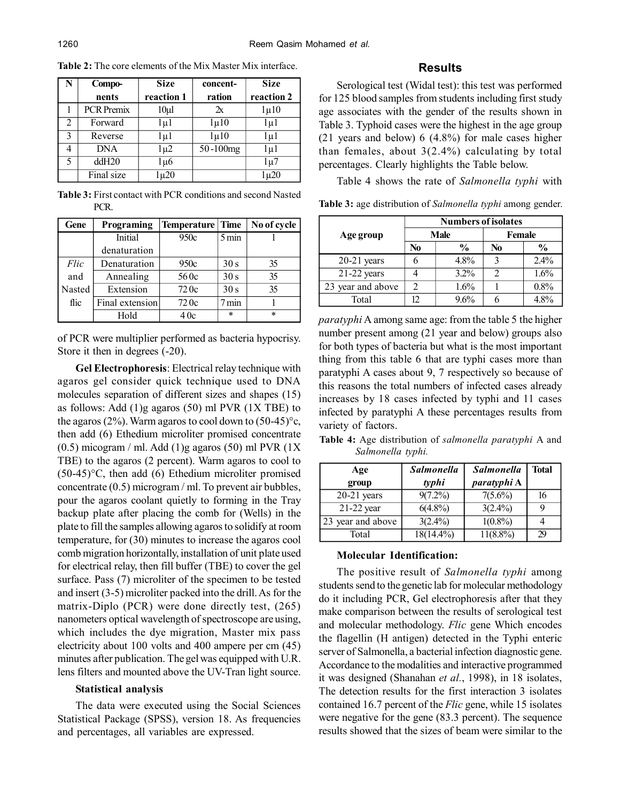| N | Compo-            | <b>Size</b> | concent-      | <b>Size</b> |
|---|-------------------|-------------|---------------|-------------|
|   | nents             | reaction 1  | ration        | reaction 2  |
|   | <b>PCR</b> Premix | $10\mu$     | $\mathbf{r}$  | $\mu$ 10    |
| 2 | Forward           | lu1         | $\mu$ 10      | lu1         |
| 3 | Reverse           | lμ1         | $1\mu$ 10     | lμ1         |
| 4 | <b>DNA</b>        | lμ2         | $50 - 100$ mg | lμ1         |
| 5 | ddH20             | 1 µ6        |               | 1 u 7       |
|   | Final size        | $\sqrt{20}$ |               | l µ20       |

**Table 2:** The core elements of the Mix Master Mix interface.

**Table 3:** First contact with PCR conditions and second Nasted PCR.

| Gene   | Programing      | Temperature Time |                 | No of cycle |
|--------|-----------------|------------------|-----------------|-------------|
|        | Initial         | 950c             | $5 \text{ min}$ |             |
|        | denaturation    |                  |                 |             |
| Flic   | Denaturation    | 950c             | 30 s            | 35          |
| and    | Annealing       | 560c             | 30 s            | 35          |
| Nasted | Extension       | 720c             | 30 <sub>s</sub> | 35          |
| flic   | Final extension | 720c             | 7 min           |             |
|        | Hold            | 40c              | $\star$         | $\ast$      |

of PCR were multiplier performed as bacteria hypocrisy. Store it then in degrees (-20).

**Gel Electrophoresis**: Electrical relay technique with agaros gel consider quick technique used to DNA molecules separation of different sizes and shapes (15) as follows: Add  $(1)$ g agaros  $(50)$  ml PVR  $(1X$  TBE) to the agaros (2%). Warm agaros to cool down to  $(50-45)$ °c, then add (6) Ethedium microliter promised concentrate  $(0.5)$  micogram / ml. Add  $(1)$ g agaros  $(50)$  ml PVR  $(1X)$ TBE) to the agaros (2 percent). Warm agaros to cool to  $(50-45)$ °C, then add (6) Ethedium microliter promised concentrate (0.5) microgram / ml. To prevent air bubbles, pour the agaros coolant quietly to forming in the Tray backup plate after placing the comb for (Wells) in the plate to fill the samples allowing agaros to solidify at room temperature, for (30) minutes to increase the agaros cool comb migration horizontally, installation of unit plate used for electrical relay, then fill buffer (TBE) to cover the gel surface. Pass (7) microliter of the specimen to be tested and insert (3-5) microliter packed into the drill. As for the matrix-Diplo (PCR) were done directly test, (265) nanometers optical wavelength of spectroscope are using, which includes the dye migration, Master mix pass electricity about 100 volts and 400 ampere per cm (45) minutes after publication. The gel was equipped with U.R. lens filters and mounted above the UV-Tran light source.

#### **Statistical analysis**

The data were executed using the Social Sciences Statistical Package (SPSS), version 18. As frequencies and percentages, all variables are expressed.

## **Results**

Serological test (Widal test): this test was performed for 125 blood samples from students including first study age associates with the gender of the results shown in Table 3. Typhoid cases were the highest in the age group (21 years and below) 6 (4.8%) for male cases higher than females, about  $3(2.4\%)$  calculating by total percentages. Clearly highlights the Table below.

Table 4 shows the rate of *Salmonella typhi* with

|                   | <b>Numbers of isolates</b> |               |        |               |  |
|-------------------|----------------------------|---------------|--------|---------------|--|
| Age group         | Male                       |               | Female |               |  |
|                   | No                         | $\frac{0}{0}$ | No     | $\frac{6}{9}$ |  |
| $20-21$ years     | n                          | $4.8\%$       |        | 2.4%          |  |
| $21-22$ years     |                            | $3.2\%$       |        | 1.6%          |  |
| 23 year and above | 2                          | 1.6%          |        | 0.8%          |  |
| Total             | 12                         | 9.6%          |        | 48%           |  |

**Table 3:** age distribution of *Salmonella typhi* among gender.

*paratyphi* A among same age: from the table 5 the higher number present among (21 year and below) groups also for both types of bacteria but what is the most important thing from this table 6 that are typhi cases more than paratyphi A cases about 9, 7 respectively so because of this reasons the total numbers of infected cases already increases by 18 cases infected by typhi and 11 cases infected by paratyphi A these percentages results from variety of factors.

**Table 4:** Age distribution of *salmonella paratyphi* A and *Salmonella typhi.*

| Age<br>group      | <b>Salmonella</b><br>typhi | <b>Salmonella</b><br>paratyphi A | <b>Total</b> |
|-------------------|----------------------------|----------------------------------|--------------|
| $20-21$ years     | $9(7.2\%)$                 | $7(5.6\%)$                       | 16           |
| $21-22$ year      | $6(4.8\%)$                 | $3(2.4\%)$                       |              |
| 23 year and above | $3(2.4\%)$                 | $1(0.8\%)$                       |              |
| Total             | $18(14.4\%)$               | $11(8.8\%)$                      | 29           |

#### **Molecular Identification:**

The positive result of *Salmonella typhi* among students send to the genetic lab for molecular methodology do it including PCR, Gel electrophoresis after that they make comparison between the results of serological test and molecular methodology. *Flic* gene Which encodes the flagellin (H antigen) detected in the Typhi enteric server of Salmonella, a bacterial infection diagnostic gene. Accordance to the modalities and interactive programmed it was designed (Shanahan *et al.*, 1998), in 18 isolates, The detection results for the first interaction 3 isolates contained 16.7 percent of the *Flic* gene, while 15 isolates were negative for the gene (83.3 percent). The sequence results showed that the sizes of beam were similar to the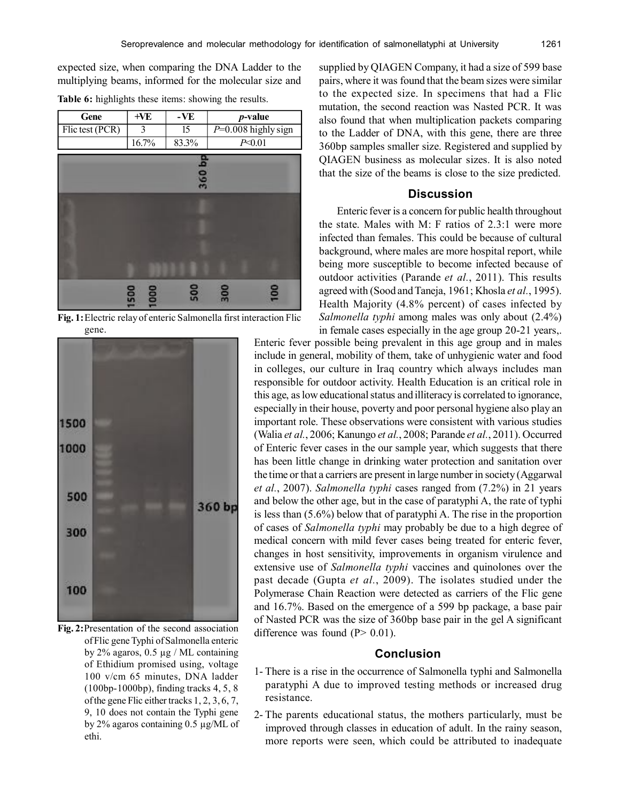expected size, when comparing the DNA Ladder to the multiplying beams, informed for the molecular size and

| Gene            | +VE   | $-VE$ | <i>p</i> -value       |  |
|-----------------|-------|-------|-----------------------|--|
| Flic test (PCR) |       | 15    | $P=0.008$ highly sign |  |
|                 | 16.7% | 83.3% | P<0 01                |  |
|                 |       |       |                       |  |

**Table 6:** highlights these items: showing the results.



**Fig. 1:**Electric relay of enteric Salmonella first interaction Flic gene.



**Fig. 2:**Presentation of the second association of Flic gene Typhi of Salmonella enteric by 2% agaros, 0.5 µg / ML containing of Ethidium promised using, voltage 100 v/cm 65 minutes, DNA ladder (100bp-1000bp), finding tracks 4, 5, 8 of the gene Flic either tracks 1, 2, 3, 6, 7, 9, 10 does not contain the Typhi gene by 2% agaros containing 0.5 µg/ML of ethi.

supplied by QIAGEN Company, it had a size of 599 base pairs, where it was found that the beam sizes were similar to the expected size. In specimens that had a Flic mutation, the second reaction was Nasted PCR. It was also found that when multiplication packets comparing to the Ladder of DNA, with this gene, there are three 360bp samples smaller size. Registered and supplied by QIAGEN business as molecular sizes. It is also noted that the size of the beams is close to the size predicted.

# **Discussion**

Enteric fever is a concern for public health throughout the state. Males with M: F ratios of 2.3:1 were more infected than females. This could be because of cultural background, where males are more hospital report, while being more susceptible to become infected because of outdoor activities (Parande *et al.*, 2011). This results agreed with (Sood and Taneja, 1961; Khosla *et al.*, 1995). Health Majority (4.8% percent) of cases infected by *Salmonella typhi* among males was only about (2.4%) in female cases especially in the age group 20-21 years,.

Enteric fever possible being prevalent in this age group and in males include in general, mobility of them, take of unhygienic water and food in colleges, our culture in Iraq country which always includes man responsible for outdoor activity. Health Education is an critical role in this age, as low educational status and illiteracy is correlated to ignorance, especially in their house, poverty and poor personal hygiene also play an important role. These observations were consistent with various studies (Walia *et al.*, 2006; Kanungo *et al.*, 2008; Parande *et al.*, 2011). Occurred of Enteric fever cases in the our sample year, which suggests that there has been little change in drinking water protection and sanitation over the time or that a carriers are present in large number in society (Aggarwal *et al.*, 2007). *Salmonella typhi* cases ranged from (7.2%) in 21 years and below the other age, but in the case of paratyphi A, the rate of typhi is less than (5.6%) below that of paratyphi A. The rise in the proportion of cases of *Salmonella typhi* may probably be due to a high degree of medical concern with mild fever cases being treated for enteric fever, changes in host sensitivity, improvements in organism virulence and extensive use of *Salmonella typhi* vaccines and quinolones over the past decade (Gupta *et al.*, 2009). The isolates studied under the Polymerase Chain Reaction were detected as carriers of the Flic gene and 16.7%. Based on the emergence of a 599 bp package, a base pair of Nasted PCR was the size of 360bp base pair in the gel A significant difference was found  $(P> 0.01)$ .

## **Conclusion**

- 1- There is a rise in the occurrence of Salmonella typhi and Salmonella paratyphi A due to improved testing methods or increased drug resistance.
- 2- The parents educational status, the mothers particularly, must be improved through classes in education of adult. In the rainy season, more reports were seen, which could be attributed to inadequate